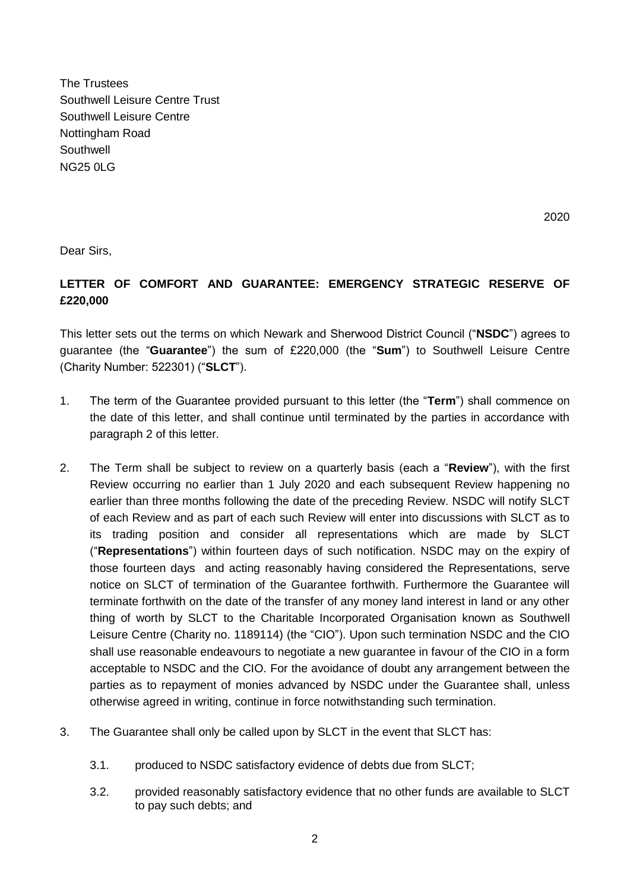The Trustees Southwell Leisure Centre Trust Southwell Leisure Centre Nottingham Road **Southwell** NG25 0LG

2020

Dear Sirs,

## **LETTER OF COMFORT AND GUARANTEE: EMERGENCY STRATEGIC RESERVE OF £220,000**

This letter sets out the terms on which Newark and Sherwood District Council ("**NSDC**") agrees to guarantee (the "**Guarantee**") the sum of £220,000 (the "**Sum**") to Southwell Leisure Centre (Charity Number: 522301) ("**SLCT**").

- 1. The term of the Guarantee provided pursuant to this letter (the "**Term**") shall commence on the date of this letter, and shall continue until terminated by the parties in accordance with paragraph 2 of this letter.
- 2. The Term shall be subject to review on a quarterly basis (each a "**Review**"), with the first Review occurring no earlier than 1 July 2020 and each subsequent Review happening no earlier than three months following the date of the preceding Review. NSDC will notify SLCT of each Review and as part of each such Review will enter into discussions with SLCT as to its trading position and consider all representations which are made by SLCT ("**Representations**") within fourteen days of such notification. NSDC may on the expiry of those fourteen days and acting reasonably having considered the Representations, serve notice on SLCT of termination of the Guarantee forthwith. Furthermore the Guarantee will terminate forthwith on the date of the transfer of any money land interest in land or any other thing of worth by SLCT to the Charitable Incorporated Organisation known as Southwell Leisure Centre (Charity no. 1189114) (the "CIO"). Upon such termination NSDC and the CIO shall use reasonable endeavours to negotiate a new guarantee in favour of the CIO in a form acceptable to NSDC and the CIO. For the avoidance of doubt any arrangement between the parties as to repayment of monies advanced by NSDC under the Guarantee shall, unless otherwise agreed in writing, continue in force notwithstanding such termination.
- 3. The Guarantee shall only be called upon by SLCT in the event that SLCT has:
	- 3.1. produced to NSDC satisfactory evidence of debts due from SLCT;
	- 3.2. provided reasonably satisfactory evidence that no other funds are available to SLCT to pay such debts; and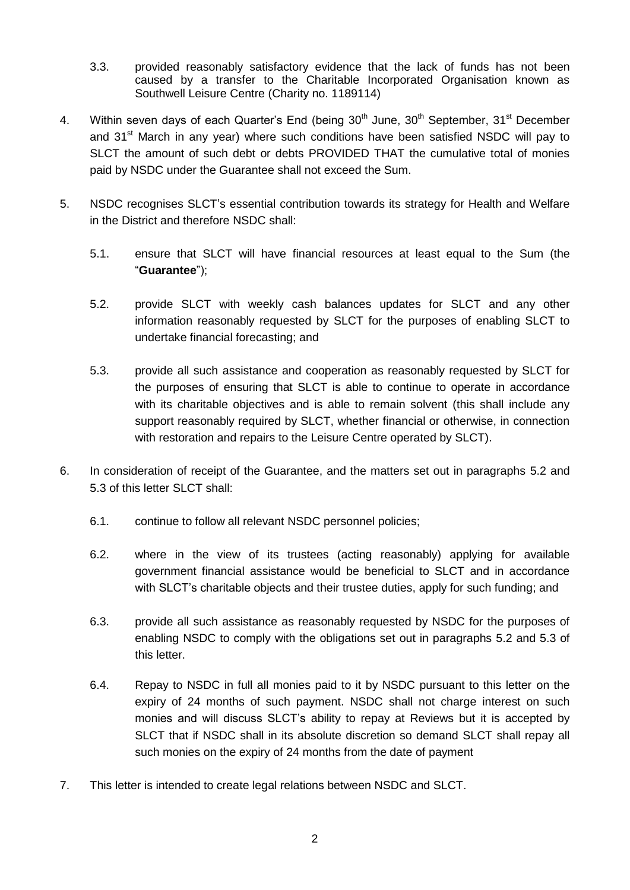- 3.3. provided reasonably satisfactory evidence that the lack of funds has not been caused by a transfer to the Charitable Incorporated Organisation known as Southwell Leisure Centre (Charity no. 1189114)
- 4. Within seven days of each Quarter's End (being  $30<sup>th</sup>$  June,  $30<sup>th</sup>$  September,  $31<sup>st</sup>$  December and 31<sup>st</sup> March in any year) where such conditions have been satisfied NSDC will pay to SLCT the amount of such debt or debts PROVIDED THAT the cumulative total of monies paid by NSDC under the Guarantee shall not exceed the Sum.
- 5. NSDC recognises SLCT's essential contribution towards its strategy for Health and Welfare in the District and therefore NSDC shall:
	- 5.1. ensure that SLCT will have financial resources at least equal to the Sum (the "**Guarantee**");
	- 5.2. provide SLCT with weekly cash balances updates for SLCT and any other information reasonably requested by SLCT for the purposes of enabling SLCT to undertake financial forecasting; and
	- 5.3. provide all such assistance and cooperation as reasonably requested by SLCT for the purposes of ensuring that SLCT is able to continue to operate in accordance with its charitable objectives and is able to remain solvent (this shall include any support reasonably required by SLCT, whether financial or otherwise, in connection with restoration and repairs to the Leisure Centre operated by SLCT).
- 6. In consideration of receipt of the Guarantee, and the matters set out in paragraphs 5.2 and 5.3 of this letter SLCT shall:
	- 6.1. continue to follow all relevant NSDC personnel policies;
	- 6.2. where in the view of its trustees (acting reasonably) applying for available government financial assistance would be beneficial to SLCT and in accordance with SLCT's charitable objects and their trustee duties, apply for such funding; and
	- 6.3. provide all such assistance as reasonably requested by NSDC for the purposes of enabling NSDC to comply with the obligations set out in paragraphs 5.2 and 5.3 of this letter.
	- 6.4. Repay to NSDC in full all monies paid to it by NSDC pursuant to this letter on the expiry of 24 months of such payment. NSDC shall not charge interest on such monies and will discuss SLCT's ability to repay at Reviews but it is accepted by SLCT that if NSDC shall in its absolute discretion so demand SLCT shall repay all such monies on the expiry of 24 months from the date of payment
- 7. This letter is intended to create legal relations between NSDC and SLCT.